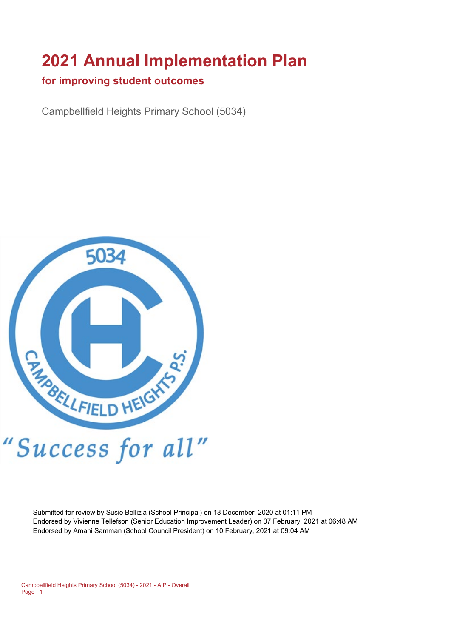# **2021 Annual Implementation Plan**

#### **for improving student outcomes**

Campbellfield Heights Primary School (5034)



Submitted for review by Susie Bellizia (School Principal) on 18 December, 2020 at 01:11 PM Endorsed by Vivienne Tellefson (Senior Education Improvement Leader) on 07 February, 2021 at 06:48 AM Endorsed by Amani Samman (School Council President) on 10 February, 2021 at 09:04 AM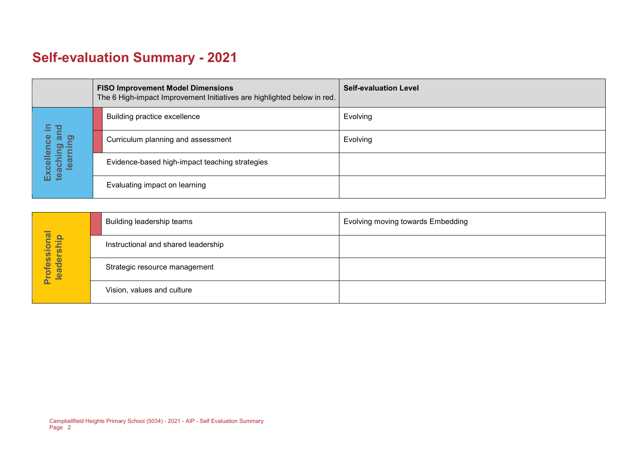# **Self-evaluation Summary - 2021**

|                                       |  | <b>FISO Improvement Model Dimensions</b><br>The 6 High-impact Improvement Initiatives are highlighted below in red. | <b>Self-evaluation Level</b> |
|---------------------------------------|--|---------------------------------------------------------------------------------------------------------------------|------------------------------|
| $\Xi$                                 |  | Building practice excellence                                                                                        | Evolving                     |
| and                                   |  | Curriculum planning and assessment                                                                                  | Evolving                     |
| Excellence<br>teaching an<br>learning |  | Evidence-based high-impact teaching strategies                                                                      |                              |
|                                       |  | Evaluating impact on learning                                                                                       |                              |

|                            | Building leadership teams           | Evolving moving towards Embedding |
|----------------------------|-------------------------------------|-----------------------------------|
|                            | Instructional and shared leadership |                                   |
| Professional<br>leadership | Strategic resource management       |                                   |
|                            | Vision, values and culture          |                                   |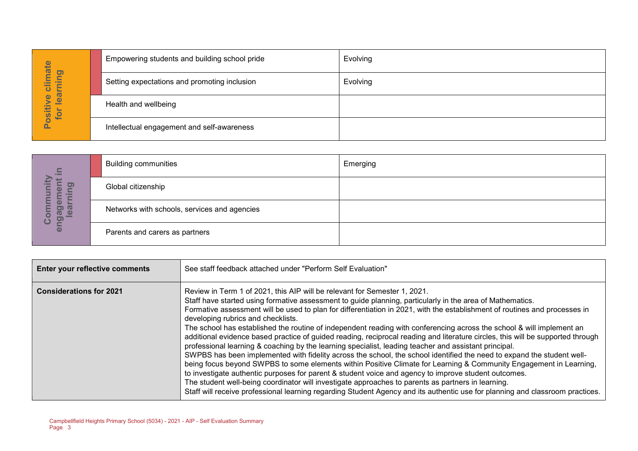|                                                      | Empowering students and building school pride | Evolving |
|------------------------------------------------------|-----------------------------------------------|----------|
| imate<br>ing<br>÷<br>ပ<br>$\vec{a}$                  | Setting expectations and promoting inclusion  | Evolving |
| Φ<br>$\overline{\mathbf{e}}$<br><b>OSItiv</b><br>for | Health and wellbeing                          |          |
| ௨                                                    | Intellectual engagement and self-awareness    |          |

| $\Xi$                                 | <b>Building communities</b>                  | Emerging |
|---------------------------------------|----------------------------------------------|----------|
| 0                                     | Global citizenship                           |          |
| <u>ិទ្ធ</u><br>enga<br>$\bullet$<br>ပ | Networks with schools, services and agencies |          |
|                                       | Parents and carers as partners               |          |

|                                       |                                | Empowering students and building school pride                                                                   | ⊏v∪ivi⊓g                                                                                                                                                                                                                                                                                                                                                                                                                                                                                                                                                                                                                                                                                                                                                                                                                                                                                                                                                                                                                                                                                                                                                                                                    |
|---------------------------------------|--------------------------------|-----------------------------------------------------------------------------------------------------------------|-------------------------------------------------------------------------------------------------------------------------------------------------------------------------------------------------------------------------------------------------------------------------------------------------------------------------------------------------------------------------------------------------------------------------------------------------------------------------------------------------------------------------------------------------------------------------------------------------------------------------------------------------------------------------------------------------------------------------------------------------------------------------------------------------------------------------------------------------------------------------------------------------------------------------------------------------------------------------------------------------------------------------------------------------------------------------------------------------------------------------------------------------------------------------------------------------------------|
| Positive climate<br>for learning      |                                | Setting expectations and promoting inclusion                                                                    | Evolving                                                                                                                                                                                                                                                                                                                                                                                                                                                                                                                                                                                                                                                                                                                                                                                                                                                                                                                                                                                                                                                                                                                                                                                                    |
|                                       | Health and wellbeing           |                                                                                                                 |                                                                                                                                                                                                                                                                                                                                                                                                                                                                                                                                                                                                                                                                                                                                                                                                                                                                                                                                                                                                                                                                                                                                                                                                             |
|                                       |                                | Intellectual engagement and self-awareness                                                                      |                                                                                                                                                                                                                                                                                                                                                                                                                                                                                                                                                                                                                                                                                                                                                                                                                                                                                                                                                                                                                                                                                                                                                                                                             |
|                                       |                                |                                                                                                                 |                                                                                                                                                                                                                                                                                                                                                                                                                                                                                                                                                                                                                                                                                                                                                                                                                                                                                                                                                                                                                                                                                                                                                                                                             |
|                                       | <b>Building communities</b>    |                                                                                                                 | Emerging                                                                                                                                                                                                                                                                                                                                                                                                                                                                                                                                                                                                                                                                                                                                                                                                                                                                                                                                                                                                                                                                                                                                                                                                    |
| engagement in<br>Community<br>earning | Global citizenship             |                                                                                                                 |                                                                                                                                                                                                                                                                                                                                                                                                                                                                                                                                                                                                                                                                                                                                                                                                                                                                                                                                                                                                                                                                                                                                                                                                             |
|                                       |                                | Networks with schools, services and agencies                                                                    |                                                                                                                                                                                                                                                                                                                                                                                                                                                                                                                                                                                                                                                                                                                                                                                                                                                                                                                                                                                                                                                                                                                                                                                                             |
|                                       | Parents and carers as partners |                                                                                                                 |                                                                                                                                                                                                                                                                                                                                                                                                                                                                                                                                                                                                                                                                                                                                                                                                                                                                                                                                                                                                                                                                                                                                                                                                             |
|                                       |                                |                                                                                                                 |                                                                                                                                                                                                                                                                                                                                                                                                                                                                                                                                                                                                                                                                                                                                                                                                                                                                                                                                                                                                                                                                                                                                                                                                             |
|                                       | Enter your reflective comments | See staff feedback attached under "Perform Self Evaluation"                                                     |                                                                                                                                                                                                                                                                                                                                                                                                                                                                                                                                                                                                                                                                                                                                                                                                                                                                                                                                                                                                                                                                                                                                                                                                             |
| <b>Considerations for 2021</b>        |                                | Review in Term 1 of 2021, this AIP will be relevant for Semester 1, 2021.<br>developing rubrics and checklists. | Staff have started using formative assessment to guide planning, particularly in the area of Mathematics.<br>Formative assessment will be used to plan for differentiation in 2021, with the establishment of routines and processes in<br>The school has established the routine of independent reading with conferencing across the school & will implement an<br>additional evidence based practice of guided reading, reciprocal reading and literature circles, this will be supported through<br>professional learning & coaching by the learning specialist, leading teacher and assistant principal.<br>SWPBS has been implemented with fidelity across the school, the school identified the need to expand the student well-<br>being focus beyond SWPBS to some elements within Positive Climate for Learning & Community Engagement in Learning,<br>to investigate authentic purposes for parent & student voice and agency to improve student outcomes.<br>The student well-being coordinator will investigate approaches to parents as partners in learning.<br>Staff will receive professional learning regarding Student Agency and its authentic use for planning and classroom practices. |
| Page 3                                |                                | Campbellfield Heights Primary School (5034) - 2021 - AIP - Self Evaluation Summary                              |                                                                                                                                                                                                                                                                                                                                                                                                                                                                                                                                                                                                                                                                                                                                                                                                                                                                                                                                                                                                                                                                                                                                                                                                             |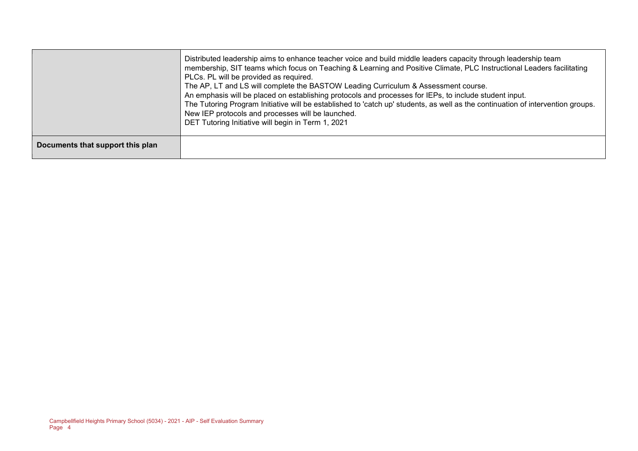|                                  | Distributed leadership aims to enhance teacher voice and build middle leaders capacity through leadership team<br>membership, SIT teams which focus on Teaching & Learning and Positive Climate, PLC Instructional Leaders facilitating<br>PLCs. PL will be provided as required.<br>The AP, LT and LS will complete the BASTOW Leading Curriculum & Assessment course.<br>An emphasis will be placed on establishing protocols and processes for IEPs, to include student input.<br>The Tutoring Program Initiative will be established to 'catch up' students, as well as the continuation of intervention groups.<br>New IEP protocols and processes will be launched.<br>DET Tutoring Initiative will begin in Term 1, 2021 |
|----------------------------------|---------------------------------------------------------------------------------------------------------------------------------------------------------------------------------------------------------------------------------------------------------------------------------------------------------------------------------------------------------------------------------------------------------------------------------------------------------------------------------------------------------------------------------------------------------------------------------------------------------------------------------------------------------------------------------------------------------------------------------|
| Documents that support this plan |                                                                                                                                                                                                                                                                                                                                                                                                                                                                                                                                                                                                                                                                                                                                 |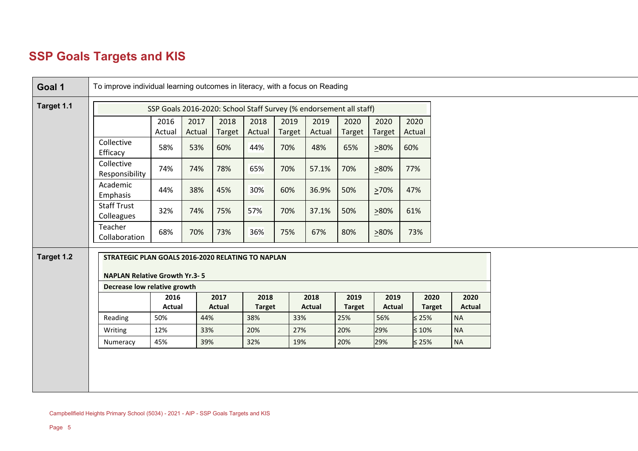# **SSP Goals Targets and KIS**

| Goal 1     | To improve individual learning outcomes in literacy, with a focus on Reading                                              |                |                |                |                |                |                |                                                                    |                |                |               |               |
|------------|---------------------------------------------------------------------------------------------------------------------------|----------------|----------------|----------------|----------------|----------------|----------------|--------------------------------------------------------------------|----------------|----------------|---------------|---------------|
| Target 1.1 |                                                                                                                           |                |                |                |                |                |                | SSP Goals 2016-2020: School Staff Survey (% endorsement all staff) |                |                |               |               |
|            |                                                                                                                           | 2016<br>Actual | 2017<br>Actual | 2018<br>Target | 2018<br>Actual | 2019<br>Target | 2019<br>Actual | 2020<br>Target                                                     | 2020<br>Target | 2020<br>Actual |               |               |
|            | Collective<br>Efficacy                                                                                                    | 58%            | 53%            | 60%            | 44%            | 70%            | 48%            | 65%                                                                | >80%           | 60%            |               |               |
|            | Collective<br>Responsibility                                                                                              | 74%            | 74%            | 78%            | 65%            | 70%            | 57.1%          | 70%                                                                | >80%           | 77%            |               |               |
|            | Academic<br>Emphasis                                                                                                      | 44%            | 38%            | 45%            | 30%            | 60%            | 36.9%          | 50%                                                                | >70%           | 47%            |               |               |
|            | <b>Staff Trust</b><br>Colleagues                                                                                          | 32%            | 74%            | 75%            | 57%            | 70%            | 37.1%          | 50%                                                                | >80%           | 61%            |               |               |
|            | Teacher<br>Collaboration                                                                                                  | 68%            | 70%            | 73%            | 36%            | 75%            | 67%            | 80%                                                                | >80%           | 73%            |               |               |
| Target 1.2 | STRATEGIC PLAN GOALS 2016-2020 RELATING TO NAPLAN<br><b>NAPLAN Relative Growth Yr.3-5</b><br>Decrease low relative growth |                |                |                |                |                |                |                                                                    |                |                |               |               |
|            |                                                                                                                           | 2016           |                | 2017           | 2018           |                | 2018           | 2019                                                               | 2019           |                | 2020          | 2020          |
|            |                                                                                                                           | Actual         |                | <b>Actual</b>  | <b>Target</b>  |                | Actual         | <b>Target</b>                                                      | <b>Actual</b>  |                | <b>Target</b> | <b>Actual</b> |
|            | Reading                                                                                                                   | 50%            | 44%            |                | 38%            | 33%            |                | 25%                                                                | 56%            | $≤ 25\%$       |               | <b>NA</b>     |
|            | Writing                                                                                                                   | 12%            | 33%            |                | 20%            | 27%            |                | 20%                                                                | 29%            |                | $\leq 10\%$   | <b>NA</b>     |
|            |                                                                                                                           | 45%            | 39%            |                | 32%            | 19%            |                | 20%                                                                | 29%            | $\leq 25\%$    |               | <b>NA</b>     |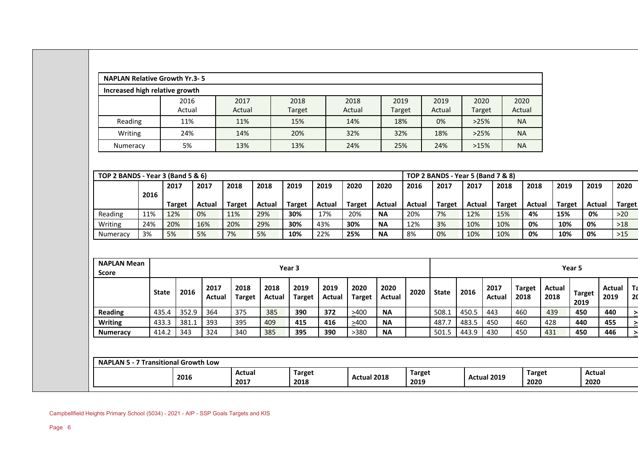|                                                                                                    |                                                                                   | Increased high relative growth |                       |                       |                       |                       |                |                       |                     |                      |                     |               |                       |                       |                      |                       |                        |
|----------------------------------------------------------------------------------------------------|-----------------------------------------------------------------------------------|--------------------------------|-----------------------|-----------------------|-----------------------|-----------------------|----------------|-----------------------|---------------------|----------------------|---------------------|---------------|-----------------------|-----------------------|----------------------|-----------------------|------------------------|
|                                                                                                    |                                                                                   | 2016                           |                       | 2017                  |                       | 2018                  |                | 2018                  | 2019                |                      | 2019                | 2020          |                       | 2020                  |                      |                       |                        |
|                                                                                                    |                                                                                   | Actual                         |                       | Actual                |                       | Target                |                | Actual                | Target              |                      | Actual              | Target        |                       | Actual                |                      |                       |                        |
| Reading                                                                                            |                                                                                   | 11%                            |                       | 11%                   |                       | 15%                   |                | 14%                   | 18%                 |                      | 0%<br>>25%          |               |                       | <b>NA</b>             |                      |                       |                        |
| Writing                                                                                            |                                                                                   | 24%                            |                       | 14%                   |                       | 20%                   |                | 32%                   | 32%                 |                      | 18%                 | >25%          |                       | <b>NA</b>             |                      |                       |                        |
| Numeracy                                                                                           |                                                                                   | 5%                             |                       | 13%                   |                       | 13%                   |                | 24%                   | 25%                 |                      | 24%                 | >15%          |                       | <b>NA</b>             |                      |                       |                        |
|                                                                                                    |                                                                                   |                                |                       |                       |                       |                       |                |                       |                     |                      |                     |               |                       |                       |                      |                       |                        |
|                                                                                                    | TOP 2 BANDS - Year 3 (Band 5 & 6)<br><b>TOP 2 BANDS - Year 5 (Band 7 &amp; 8)</b> |                                |                       |                       |                       |                       |                |                       |                     |                      |                     |               |                       |                       |                      |                       |                        |
|                                                                                                    | 2016                                                                              | 2017                           | 2017                  | 2018                  | 2018                  | 2019                  | 2019           | 2020                  | 2020                | 2016                 | 2017                | 2017          | 2018                  | 2018                  | 2019                 | 2019                  | 2020                   |
| Reading                                                                                            | 11%                                                                               | <b>Target</b><br>12%           | Actual<br>0%          | <b>Target</b><br>11%  | Actual<br>29%         | <b>Target</b><br>30%  | Actual<br>17%  | <b>Target</b><br>20%  | Actual<br><b>NA</b> | <b>Actual</b><br>20% | <b>Target</b><br>7% | Actual<br>12% | <b>Target</b><br>15%  | Actual<br>4%          | <b>Target</b><br>15% | Actual<br>0%          | <b>Target</b><br>$>20$ |
| Writing                                                                                            | 24%                                                                               | 20%                            | 16%                   | 20%                   | 29%                   | 30%                   | 43%            | 30%                   | <b>NA</b>           | 12%                  | 3%                  | 10%           | 10%                   | 0%                    | 10%                  | 0%                    | $>18$                  |
| Numeracy                                                                                           | 3%                                                                                | 5%                             | 5%                    | 7%                    | 5%                    | 10%                   | 22%            | 25%                   | <b>NA</b>           | 8%                   | 0%                  | 10%           | 10%                   | 0%                    | 10%                  | 0%                    | $>15$                  |
|                                                                                                    |                                                                                   |                                |                       |                       |                       |                       |                |                       |                     |                      |                     |               |                       |                       |                      |                       |                        |
|                                                                                                    |                                                                                   |                                |                       |                       |                       |                       |                |                       |                     |                      |                     |               |                       |                       |                      |                       |                        |
| <b>NAPLAN Mean</b><br><b>Score</b>                                                                 |                                                                                   |                                |                       |                       |                       | Year 3                |                |                       |                     |                      |                     |               |                       |                       | Year <sub>5</sub>    |                       |                        |
|                                                                                                    | <b>State</b>                                                                      | 2016                           | 2017<br><b>Actual</b> | 2018<br><b>Target</b> | 2018<br><b>Actual</b> | 2019<br><b>Target</b> | 2019<br>Actual | 2020<br><b>Target</b> | 2020<br>Actual      | 2020                 | <b>State</b>        | 2016          | 2017<br><b>Actual</b> | <b>Target</b><br>2018 | Actual<br>2018       | <b>Target</b><br>2019 | <b>Actual</b><br>2019  |
|                                                                                                    | 435.4                                                                             | 352.9                          | 364                   | 375                   | 385                   | 390                   | 372            | >400                  | <b>NA</b>           |                      | 508.1               | 450.5         | 443                   | 460                   | 439                  | 450                   | 440                    |
|                                                                                                    | 433.3                                                                             | 381.1                          | 393                   | 395                   | 409                   | 415                   | 416            | >400                  | <b>NA</b>           |                      | 487.7               | 483.5         | 450                   | 460                   | 428                  | 440                   | 455                    |
|                                                                                                    | 414.2                                                                             | 343                            | 324                   | 340                   | 385                   | 395                   | 390            | >380                  | <b>NA</b>           |                      | 501.5               | 443.9         | 430                   | 450                   | 431                  | 450                   | 446                    |
| <b>Reading</b><br><b>Writing</b><br><b>Numeracy</b><br><b>NAPLAN 5 - 7 Transitional Growth Low</b> |                                                                                   |                                |                       |                       |                       |                       |                |                       |                     |                      |                     |               |                       |                       |                      |                       |                        |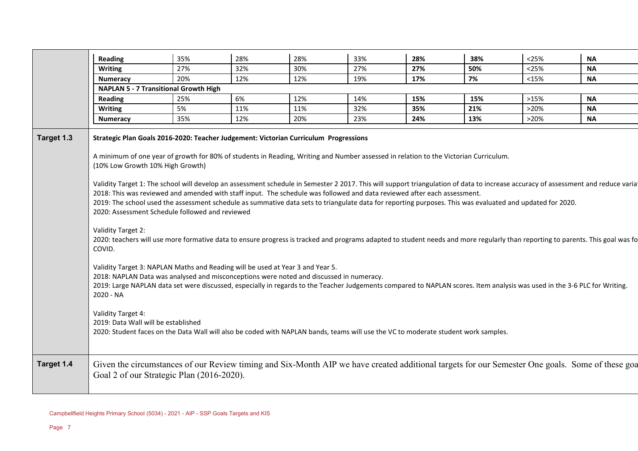|            | <b>Reading</b>                                                                                                                                                                                                                                                                                                                                                                                                                                                                                                                                                                                                                               | 35% | 28% | 28% | 33% | 28% | 38% | < 25% | <b>NA</b>                                                                                                                                                                                                                                                                                                                                                               |
|------------|----------------------------------------------------------------------------------------------------------------------------------------------------------------------------------------------------------------------------------------------------------------------------------------------------------------------------------------------------------------------------------------------------------------------------------------------------------------------------------------------------------------------------------------------------------------------------------------------------------------------------------------------|-----|-----|-----|-----|-----|-----|-------|-------------------------------------------------------------------------------------------------------------------------------------------------------------------------------------------------------------------------------------------------------------------------------------------------------------------------------------------------------------------------|
|            | <b>Writing</b>                                                                                                                                                                                                                                                                                                                                                                                                                                                                                                                                                                                                                               | 27% | 32% | 30% | 27% | 27% | 50% | <25%  | <b>NA</b>                                                                                                                                                                                                                                                                                                                                                               |
|            | <b>Numeracy</b>                                                                                                                                                                                                                                                                                                                                                                                                                                                                                                                                                                                                                              | 20% | 12% | 12% | 19% | 17% | 7%  | <15%  | ΝA                                                                                                                                                                                                                                                                                                                                                                      |
|            | <b>NAPLAN 5 - 7 Transitional Growth High</b>                                                                                                                                                                                                                                                                                                                                                                                                                                                                                                                                                                                                 |     |     |     |     |     |     |       |                                                                                                                                                                                                                                                                                                                                                                         |
|            | <b>Reading</b>                                                                                                                                                                                                                                                                                                                                                                                                                                                                                                                                                                                                                               | 25% | 6%  | 12% | 14% | 15% | 15% | >15%  | <b>NA</b>                                                                                                                                                                                                                                                                                                                                                               |
|            | <b>Writing</b>                                                                                                                                                                                                                                                                                                                                                                                                                                                                                                                                                                                                                               | 5%  | 11% | 11% | 32% | 35% | 21% | >20%  | <b>NA</b>                                                                                                                                                                                                                                                                                                                                                               |
|            | <b>Numeracy</b>                                                                                                                                                                                                                                                                                                                                                                                                                                                                                                                                                                                                                              | 35% | 12% | 20% | 23% | 24% | 13% | >20%  | <b>NA</b>                                                                                                                                                                                                                                                                                                                                                               |
| Target 1.3 | Strategic Plan Goals 2016-2020: Teacher Judgement: Victorian Curriculum Progressions<br>A minimum of one year of growth for 80% of students in Reading, Writing and Number assessed in relation to the Victorian Curriculum.<br>(10% Low Growth 10% High Growth)<br>2018: This was reviewed and amended with staff input. The schedule was followed and data reviewed after each assessment.<br>2019: The school used the assessment schedule as summative data sets to triangulate data for reporting purposes. This was evaluated and updated for 2020.<br>2020: Assessment Schedule followed and reviewed<br>Validity Target 2:<br>COVID. |     |     |     |     |     |     |       | Validity Target 1: The school will develop an assessment schedule in Semester 2 2017. This will support triangulation of data to increase accuracy of assessment and reduce variation<br>2020: teachers will use more formative data to ensure progress is tracked and programs adapted to student needs and more regularly than reporting to parents. This goal was fo |
|            | Validity Target 3: NAPLAN Maths and Reading will be used at Year 3 and Year 5.<br>2018: NAPLAN Data was analysed and misconceptions were noted and discussed in numeracy.<br>2019: Large NAPLAN data set were discussed, especially in regards to the Teacher Judgements compared to NAPLAN scores. Item analysis was used in the 3-6 PLC for Writing.<br>2020 - NA<br>Validity Target 4:<br>2019: Data Wall will be established<br>2020: Student faces on the Data Wall will also be coded with NAPLAN bands, teams will use the VC to moderate student work samples.                                                                       |     |     |     |     |     |     |       |                                                                                                                                                                                                                                                                                                                                                                         |
| Target 1.4 | Goal 2 of our Strategic Plan (2016-2020).                                                                                                                                                                                                                                                                                                                                                                                                                                                                                                                                                                                                    |     |     |     |     |     |     |       | Given the circumstances of our Review timing and Six-Month AIP we have created additional targets for our Semester One goals. Some of these goal                                                                                                                                                                                                                        |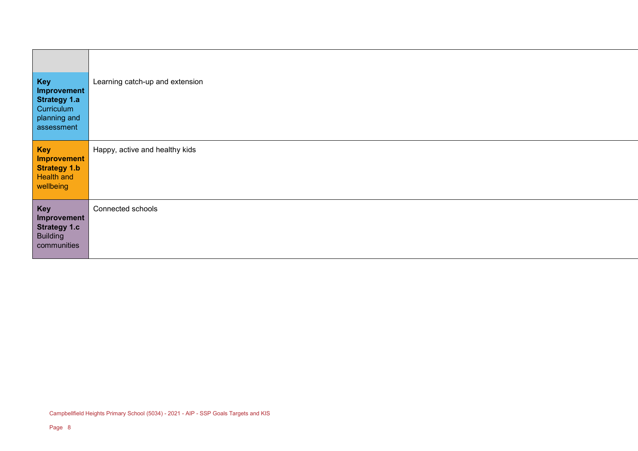| <b>Key</b><br>Improvement<br><b>Strategy 1.a</b><br>Curriculum<br>planning and<br>assessment | Learning catch-up and extension |
|----------------------------------------------------------------------------------------------|---------------------------------|
| <b>Key</b><br><b>Improvement</b><br><b>Strategy 1.b</b><br><b>Health and</b><br>wellbeing    | Happy, active and healthy kids  |
| <b>Key</b><br>Improvement<br><b>Strategy 1.c</b><br><b>Building</b><br>communities           | Connected schools               |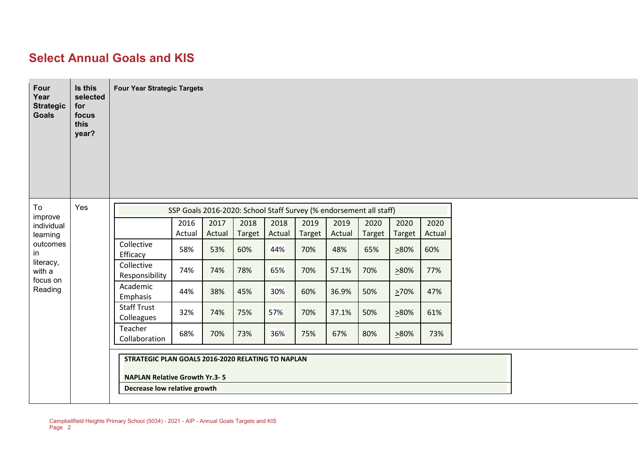#### **Select Annual Goals and KIS**

| Four<br>Year<br><b>Strategic</b><br><b>Goals</b> | Is this<br>selected<br>for<br>focus<br>this<br>year? | <b>Four Year Strategic Targets</b>                                                                                        |                |                |                |                |                |                |                |                |                |  |  |  |  |
|--------------------------------------------------|------------------------------------------------------|---------------------------------------------------------------------------------------------------------------------------|----------------|----------------|----------------|----------------|----------------|----------------|----------------|----------------|----------------|--|--|--|--|
| To                                               | Yes                                                  | SSP Goals 2016-2020: School Staff Survey (% endorsement all staff)                                                        |                |                |                |                |                |                |                |                |                |  |  |  |  |
| improve<br>individual                            |                                                      |                                                                                                                           | 2016<br>Actual | 2017<br>Actual | 2018<br>Target | 2018<br>Actual | 2019<br>Target | 2019<br>Actual | 2020<br>Target | 2020<br>Target | 2020<br>Actual |  |  |  |  |
| learning<br>outcomes<br>in                       |                                                      | Collective<br>Efficacy                                                                                                    | 58%            | 53%            | 60%            | 44%            | 70%            | 48%            | 65%            | 280%           | 60%            |  |  |  |  |
| literacy,<br>with a<br>focus on                  |                                                      | Collective<br>Responsibility                                                                                              | 74%            | 74%            | 78%            | 65%            | 70%            | 57.1%          | 70%            | 280%           | 77%            |  |  |  |  |
| Reading                                          |                                                      | Academic<br>Emphasis                                                                                                      | 44%            | 38%            | 45%            | 30%            | 60%            | 36.9%          | 50%            | 270%           | 47%            |  |  |  |  |
|                                                  |                                                      | <b>Staff Trust</b><br>Colleagues                                                                                          | 32%            | 74%            | 75%            | 57%            | 70%            | 37.1%          | 50%            | 280%           | 61%            |  |  |  |  |
|                                                  |                                                      | Teacher<br>Collaboration                                                                                                  | 68%            | 70%            | 73%            | 36%            | 75%            | 67%            | 80%            | 280%           | 73%            |  |  |  |  |
|                                                  |                                                      | STRATEGIC PLAN GOALS 2016-2020 RELATING TO NAPLAN<br><b>NAPLAN Relative Growth Yr.3-5</b><br>Decrease low relative growth |                |                |                |                |                |                |                |                |                |  |  |  |  |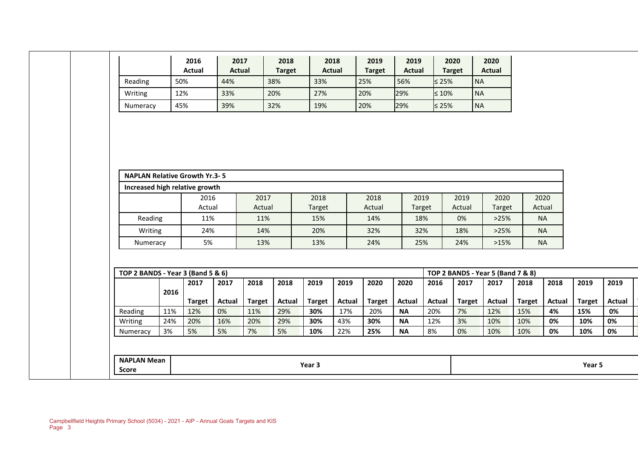|                                      |      | 2016<br><b>Actual</b> | 2017<br><b>Actual</b> |                      | 2018<br><b>Target</b> | 2018<br><b>Actual</b> |                      | 2019<br><b>Target</b> | 2019<br><b>Actual</b>      | 2020<br><b>Target</b> |                     | 2020<br><b>Actual</b>                     |                      |                     |                      |
|--------------------------------------|------|-----------------------|-----------------------|----------------------|-----------------------|-----------------------|----------------------|-----------------------|----------------------------|-----------------------|---------------------|-------------------------------------------|----------------------|---------------------|----------------------|
| Reading                              | 50%  |                       | 44%                   |                      | 38%                   | 33%                   |                      | 25%                   | 56%                        | $\leq 25\%$           | <b>NA</b>           |                                           |                      |                     |                      |
| Writing                              | 12%  |                       | 33%                   |                      | 20%                   | 27%                   |                      | 20%                   | 29%                        | $\leq 10\%$           | <b>NA</b>           |                                           |                      |                     |                      |
| Numeracy                             | 45%  |                       | 39%                   |                      | 32%                   | 19%                   |                      | 20%                   | 29%                        | ≤ 25%                 | <b>NA</b>           |                                           |                      |                     |                      |
| <b>NAPLAN Relative Growth Yr.3-5</b> |      |                       |                       |                      |                       |                       |                      |                       |                            |                       |                     |                                           |                      |                     |                      |
| Increased high relative growth       |      |                       |                       |                      |                       |                       |                      |                       |                            |                       |                     |                                           |                      |                     |                      |
|                                      |      | 2016                  |                       | 2017                 |                       | 2018                  |                      | 2018                  | 2019                       |                       | 2019                | 2020                                      |                      | 2020                |                      |
| Reading                              |      | Actual<br>11%         |                       | Actual<br>11%        |                       | Target<br>15%         |                      | Actual<br>14%         | Target<br>18%              |                       | Actual<br>0%        | Target<br>>25%                            | <b>NA</b>            | Actual              |                      |
| Writing                              |      | 24%                   |                       | 14%                  |                       | 20%                   |                      | 32%                   | 32%                        |                       | 18%                 | >25%                                      | <b>NA</b>            |                     |                      |
|                                      |      | 5%                    |                       | 13%                  |                       | 13%                   |                      | 24%                   | 25%                        |                       | 24%                 | >15%                                      | <b>NA</b>            |                     |                      |
| Numeracy                             |      |                       |                       |                      |                       |                       |                      |                       |                            |                       |                     |                                           |                      |                     |                      |
| TOP 2 BANDS - Year 3 (Band 5 & 6)    |      | 2017                  | 2017                  | 2018                 | 2018                  | 2019                  | 2019                 | 2020                  | 2020                       | 2016                  | 2017                | TOP 2 BANDS - Year 5 (Band 7 & 8)<br>2017 | 2018                 | 2018                | 2019                 |
|                                      | 2016 |                       |                       |                      |                       |                       |                      |                       |                            |                       |                     |                                           |                      |                     |                      |
| Reading                              | 11%  | <b>Target</b><br>12%  | <b>Actual</b><br>0%   | <b>Target</b><br>11% | <b>Actual</b><br>29%  | <b>Target</b><br>30%  | <b>Actual</b><br>17% | <b>Target</b><br>20%  | <b>Actual</b><br><b>NA</b> | Actual<br>20%         | <b>Target</b><br>7% | Actual<br>12%                             | <b>Target</b><br>15% | <b>Actual</b><br>4% | 15%                  |
| Writing                              | 24%  | 20%                   | 16%                   | 20%                  | 29%                   | 30%                   | 43%                  | 30%                   | <b>NA</b>                  | 12%                   | 3%                  | 10%                                       | 10%                  | 0%                  | <b>Target</b><br>10% |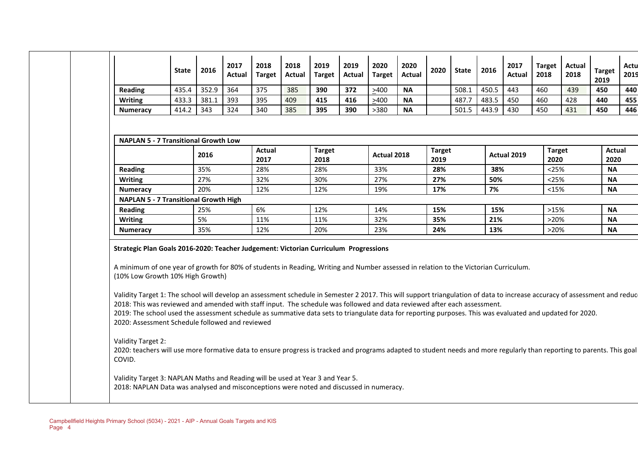|                                                                                                                                                                                                                                                                                                                                                                                                                                                                                                                                                                                                                                                                                                                                                                                            | <b>State</b> | 2016  | 2017<br>Actual | 2018<br><b>Target</b> | 2018<br><b>Actual</b> | 2019<br><b>Target</b> | 2019<br><b>Actual</b> | 2020<br><b>Target</b> | 2020<br><b>Actual</b> | 2020                  | <b>State</b> | 2016  | 2017<br>Actual | <b>Target</b><br>2018 | <b>Actual</b><br>2018 | <b>Target</b><br>2019 |
|--------------------------------------------------------------------------------------------------------------------------------------------------------------------------------------------------------------------------------------------------------------------------------------------------------------------------------------------------------------------------------------------------------------------------------------------------------------------------------------------------------------------------------------------------------------------------------------------------------------------------------------------------------------------------------------------------------------------------------------------------------------------------------------------|--------------|-------|----------------|-----------------------|-----------------------|-----------------------|-----------------------|-----------------------|-----------------------|-----------------------|--------------|-------|----------------|-----------------------|-----------------------|-----------------------|
| Reading                                                                                                                                                                                                                                                                                                                                                                                                                                                                                                                                                                                                                                                                                                                                                                                    | 435.4        | 352.9 | 364            | 375                   | 385                   | 390                   | 372                   | >400                  | <b>NA</b>             |                       | 508.1        | 450.5 | 443            | 460                   | 439                   | 450                   |
| <b>Writing</b>                                                                                                                                                                                                                                                                                                                                                                                                                                                                                                                                                                                                                                                                                                                                                                             | 433.3        | 381.1 | 393            | 395                   | 409                   | 415                   | 416                   | >400                  | <b>NA</b>             |                       | 487.7        | 483.5 | 450            | 460                   | 428                   | 440                   |
| <b>Numeracy</b>                                                                                                                                                                                                                                                                                                                                                                                                                                                                                                                                                                                                                                                                                                                                                                            | 414.2        | 343   | 324            | 340                   | 385                   | 395                   | 390                   | >380                  | <b>NA</b>             |                       | 501.5        | 443.9 | 430            | 450                   | 431                   | 450                   |
| <b>NAPLAN 5 - 7 Transitional Growth Low</b>                                                                                                                                                                                                                                                                                                                                                                                                                                                                                                                                                                                                                                                                                                                                                |              |       |                |                       |                       |                       |                       |                       |                       |                       |              |       |                |                       |                       |                       |
|                                                                                                                                                                                                                                                                                                                                                                                                                                                                                                                                                                                                                                                                                                                                                                                            |              | 2016  |                | <b>Actual</b><br>2017 |                       | <b>Target</b><br>2018 |                       | Actual 2018           |                       | <b>Target</b><br>2019 |              |       | Actual 2019    |                       | <b>Target</b><br>2020 | <b>Actual</b><br>2020 |
| Reading                                                                                                                                                                                                                                                                                                                                                                                                                                                                                                                                                                                                                                                                                                                                                                                    |              | 35%   |                | 28%                   |                       | 28%                   |                       | 33%                   |                       | 28%                   |              | 38%   |                |                       | < 25%                 | <b>NA</b>             |
| <b>Writing</b>                                                                                                                                                                                                                                                                                                                                                                                                                                                                                                                                                                                                                                                                                                                                                                             |              | 27%   |                | 32%                   |                       | 30%                   |                       | 27%                   |                       | 27%                   |              | 50%   |                |                       | < 25%                 | <b>NA</b>             |
| <b>Numeracy</b>                                                                                                                                                                                                                                                                                                                                                                                                                                                                                                                                                                                                                                                                                                                                                                            |              | 20%   |                | 12%                   |                       | 12%                   |                       | 19%                   |                       | 17%                   |              | 7%    |                |                       | <15%                  | <b>NA</b>             |
| <b>NAPLAN 5 - 7 Transitional Growth High</b>                                                                                                                                                                                                                                                                                                                                                                                                                                                                                                                                                                                                                                                                                                                                               |              |       |                |                       |                       |                       |                       |                       |                       |                       |              |       |                |                       |                       |                       |
| <b>Reading</b>                                                                                                                                                                                                                                                                                                                                                                                                                                                                                                                                                                                                                                                                                                                                                                             |              | 25%   |                | 6%                    |                       | 12%                   |                       | 14%                   |                       | 15%                   |              | 15%   |                |                       | >15%                  | <b>NA</b>             |
| <b>Writing</b>                                                                                                                                                                                                                                                                                                                                                                                                                                                                                                                                                                                                                                                                                                                                                                             |              | 5%    |                | 11%                   |                       | 11%                   |                       | 32%                   |                       | 35%                   |              | 21%   |                |                       | >20%                  | <b>NA</b>             |
| <b>Numeracy</b>                                                                                                                                                                                                                                                                                                                                                                                                                                                                                                                                                                                                                                                                                                                                                                            |              | 35%   |                | 12%                   |                       | 20%                   |                       | 23%                   |                       | 24%                   |              | 13%   |                |                       | >20%                  | <b>NA</b>             |
| Strategic Plan Goals 2016-2020: Teacher Judgement: Victorian Curriculum Progressions<br>A minimum of one year of growth for 80% of students in Reading, Writing and Number assessed in relation to the Victorian Curriculum.<br>(10% Low Growth 10% High Growth)<br>Validity Target 1: The school will develop an assessment schedule in Semester 2 2017. This will support triangulation of data to increase accuracy of assessment and reduc<br>2018: This was reviewed and amended with staff input. The schedule was followed and data reviewed after each assessment.<br>2019: The school used the assessment schedule as summative data sets to triangulate data for reporting purposes. This was evaluated and updated for 2020.<br>2020: Assessment Schedule followed and reviewed |              |       |                |                       |                       |                       |                       |                       |                       |                       |              |       |                |                       |                       |                       |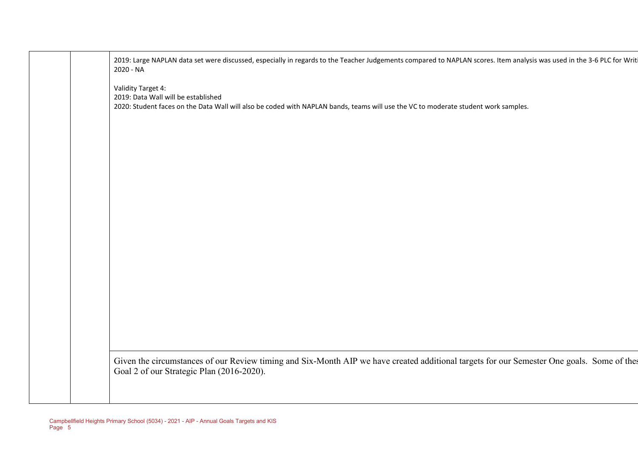| 2019: Large NAPLAN data set were discussed, especially in regards to the Teacher Judgements compared to NAPLAN scores. Item analysis was used in the 3-6 PLC for Writi<br>2020 - NA             |
|-------------------------------------------------------------------------------------------------------------------------------------------------------------------------------------------------|
| Validity Target 4:<br>2019: Data Wall will be established<br>2020: Student faces on the Data Wall will also be coded with NAPLAN bands, teams will use the VC to moderate student work samples. |
|                                                                                                                                                                                                 |
|                                                                                                                                                                                                 |
|                                                                                                                                                                                                 |
|                                                                                                                                                                                                 |
|                                                                                                                                                                                                 |
|                                                                                                                                                                                                 |
| Given the circumstances of our Review timing and Six-Month AIP we have created additional targets for our Semester One goals. Some of thes<br>Goal 2 of our Strategic Plan (2016-2020).         |
|                                                                                                                                                                                                 |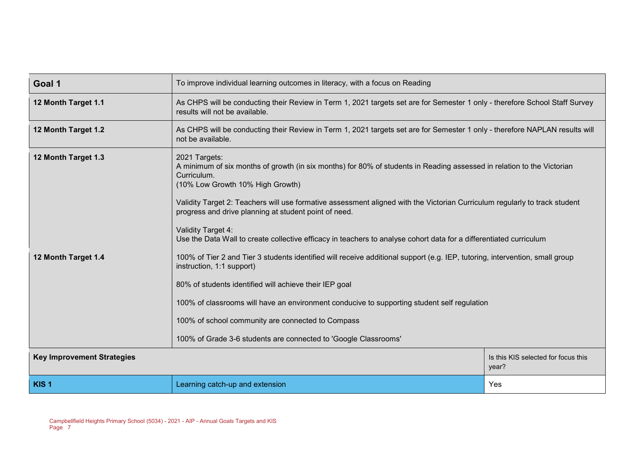| Goal 1                            | To improve individual learning outcomes in literacy, with a focus on Reading                                                                                                                                                                                                                                                                                                                                                                                                                                                                                     |                                              |  |  |  |  |
|-----------------------------------|------------------------------------------------------------------------------------------------------------------------------------------------------------------------------------------------------------------------------------------------------------------------------------------------------------------------------------------------------------------------------------------------------------------------------------------------------------------------------------------------------------------------------------------------------------------|----------------------------------------------|--|--|--|--|
| 12 Month Target 1.1               | As CHPS will be conducting their Review in Term 1, 2021 targets set are for Semester 1 only - therefore School Staff Survey<br>results will not be available.                                                                                                                                                                                                                                                                                                                                                                                                    |                                              |  |  |  |  |
| 12 Month Target 1.2               | As CHPS will be conducting their Review in Term 1, 2021 targets set are for Semester 1 only - therefore NAPLAN results will<br>not be available.                                                                                                                                                                                                                                                                                                                                                                                                                 |                                              |  |  |  |  |
| 12 Month Target 1.3               | 2021 Targets:<br>A minimum of six months of growth (in six months) for 80% of students in Reading assessed in relation to the Victorian<br>Curriculum.<br>(10% Low Growth 10% High Growth)<br>Validity Target 2: Teachers will use formative assessment aligned with the Victorian Curriculum regularly to track student<br>progress and drive planning at student point of need.<br>Validity Target 4:                                                                                                                                                          |                                              |  |  |  |  |
| 12 Month Target 1.4               | Use the Data Wall to create collective efficacy in teachers to analyse cohort data for a differentiated curriculum<br>100% of Tier 2 and Tier 3 students identified will receive additional support (e.g. IEP, tutoring, intervention, small group<br>instruction, 1:1 support)<br>80% of students identified will achieve their IEP goal<br>100% of classrooms will have an environment conducive to supporting student self regulation<br>100% of school community are connected to Compass<br>100% of Grade 3-6 students are connected to 'Google Classrooms' |                                              |  |  |  |  |
| <b>Key Improvement Strategies</b> |                                                                                                                                                                                                                                                                                                                                                                                                                                                                                                                                                                  | Is this KIS selected for focus this<br>year? |  |  |  |  |
| KIS <sub>1</sub>                  | Learning catch-up and extension                                                                                                                                                                                                                                                                                                                                                                                                                                                                                                                                  | Yes                                          |  |  |  |  |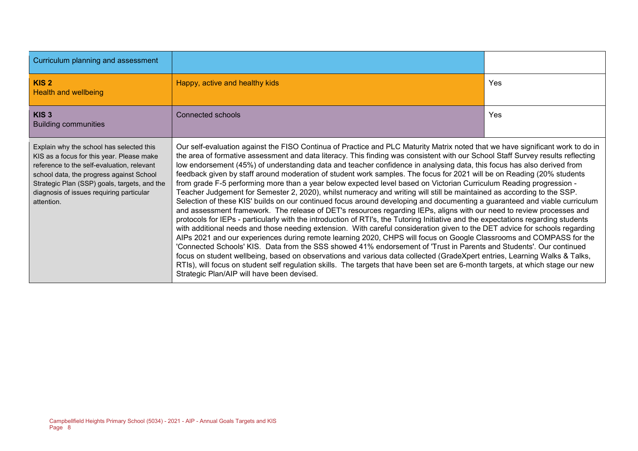| Curriculum planning and assessment                                                                                                                                                                                                                                                        |                                                                                                                                                                                                                                                                                                                                                                                                                                                                                                                                                                                                                                                                                                                                                                                                                                                                                                                                                                                                                                                                                                                                                                                                                                                                                                                                                                                                                                                                                                                                                                                                                                                                                                                                                                                                                                                               |            |
|-------------------------------------------------------------------------------------------------------------------------------------------------------------------------------------------------------------------------------------------------------------------------------------------|---------------------------------------------------------------------------------------------------------------------------------------------------------------------------------------------------------------------------------------------------------------------------------------------------------------------------------------------------------------------------------------------------------------------------------------------------------------------------------------------------------------------------------------------------------------------------------------------------------------------------------------------------------------------------------------------------------------------------------------------------------------------------------------------------------------------------------------------------------------------------------------------------------------------------------------------------------------------------------------------------------------------------------------------------------------------------------------------------------------------------------------------------------------------------------------------------------------------------------------------------------------------------------------------------------------------------------------------------------------------------------------------------------------------------------------------------------------------------------------------------------------------------------------------------------------------------------------------------------------------------------------------------------------------------------------------------------------------------------------------------------------------------------------------------------------------------------------------------------------|------------|
| KIS <sub>2</sub><br><b>Health and wellbeing</b>                                                                                                                                                                                                                                           | Happy, active and healthy kids                                                                                                                                                                                                                                                                                                                                                                                                                                                                                                                                                                                                                                                                                                                                                                                                                                                                                                                                                                                                                                                                                                                                                                                                                                                                                                                                                                                                                                                                                                                                                                                                                                                                                                                                                                                                                                | <b>Yes</b> |
| KIS <sub>3</sub><br><b>Building communities</b>                                                                                                                                                                                                                                           | Connected schools                                                                                                                                                                                                                                                                                                                                                                                                                                                                                                                                                                                                                                                                                                                                                                                                                                                                                                                                                                                                                                                                                                                                                                                                                                                                                                                                                                                                                                                                                                                                                                                                                                                                                                                                                                                                                                             | <b>Yes</b> |
| Explain why the school has selected this<br>KIS as a focus for this year. Please make<br>reference to the self-evaluation, relevant<br>school data, the progress against School<br>Strategic Plan (SSP) goals, targets, and the<br>diagnosis of issues requiring particular<br>attention. | Our self-evaluation against the FISO Continua of Practice and PLC Maturity Matrix noted that we have significant work to do in<br>the area of formative assessment and data literacy. This finding was consistent with our School Staff Survey results reflecting<br>low endorsement (45%) of understanding data and teacher confidence in analysing data, this focus has also derived from<br>feedback given by staff around moderation of student work samples. The focus for 2021 will be on Reading (20% students<br>from grade F-5 performing more than a year below expected level based on Victorian Curriculum Reading progression -<br>Teacher Judgement for Semester 2, 2020), whilst numeracy and writing will still be maintained as according to the SSP.<br>Selection of these KIS' builds on our continued focus around developing and documenting a guaranteed and viable curriculum<br>and assessment framework. The release of DET's resources regarding IEPs, aligns with our need to review processes and<br>protocols for IEPs - particularly with the introduction of RTI's, the Tutoring Initiative and the expectations regarding students<br>with additional needs and those needing extension. With careful consideration given to the DET advice for schools regarding<br>AIPs 2021 and our experiences during remote learning 2020, CHPS will focus on Google Classrooms and COMPASS for the<br>'Connected Schools' KIS. Data from the SSS showed 41% endorsement of 'Trust in Parents and Students'. Our continued<br>focus on student wellbeing, based on observations and various data collected (GradeXpert entries, Learning Walks & Talks,<br>RTIs), will focus on student self regulation skills. The targets that have been set are 6-month targets, at which stage our new<br>Strategic Plan/AIP will have been devised. |            |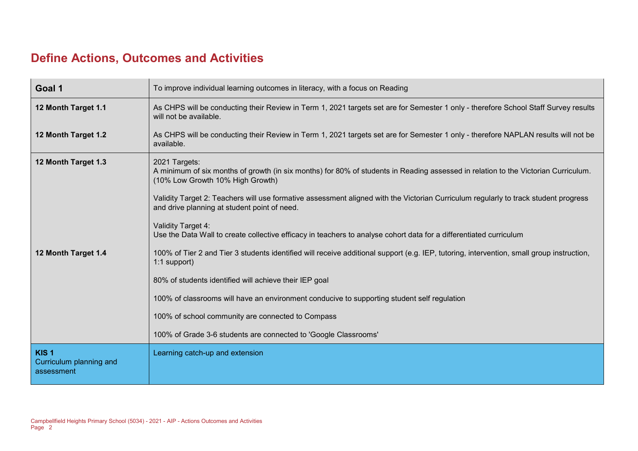# **Define Actions, Outcomes and Activities**

| Goal 1                                                    | To improve individual learning outcomes in literacy, with a focus on Reading                                                                                                            |
|-----------------------------------------------------------|-----------------------------------------------------------------------------------------------------------------------------------------------------------------------------------------|
| 12 Month Target 1.1                                       | As CHPS will be conducting their Review in Term 1, 2021 targets set are for Semester 1 only - therefore School Staff Survey results<br>will not be available.                           |
| 12 Month Target 1.2                                       | As CHPS will be conducting their Review in Term 1, 2021 targets set are for Semester 1 only - therefore NAPLAN results will not be<br>available.                                        |
| 12 Month Target 1.3                                       | 2021 Targets:<br>A minimum of six months of growth (in six months) for 80% of students in Reading assessed in relation to the Victorian Curriculum.<br>(10% Low Growth 10% High Growth) |
|                                                           | Validity Target 2: Teachers will use formative assessment aligned with the Victorian Curriculum regularly to track student progress<br>and drive planning at student point of need.     |
|                                                           | Validity Target 4:<br>Use the Data Wall to create collective efficacy in teachers to analyse cohort data for a differentiated curriculum                                                |
| 12 Month Target 1.4                                       | 100% of Tier 2 and Tier 3 students identified will receive additional support (e.g. IEP, tutoring, intervention, small group instruction,<br>1:1 support)                               |
|                                                           | 80% of students identified will achieve their IEP goal                                                                                                                                  |
|                                                           | 100% of classrooms will have an environment conducive to supporting student self regulation                                                                                             |
|                                                           | 100% of school community are connected to Compass                                                                                                                                       |
|                                                           | 100% of Grade 3-6 students are connected to 'Google Classrooms'                                                                                                                         |
| KIS <sub>1</sub><br>Curriculum planning and<br>assessment | Learning catch-up and extension                                                                                                                                                         |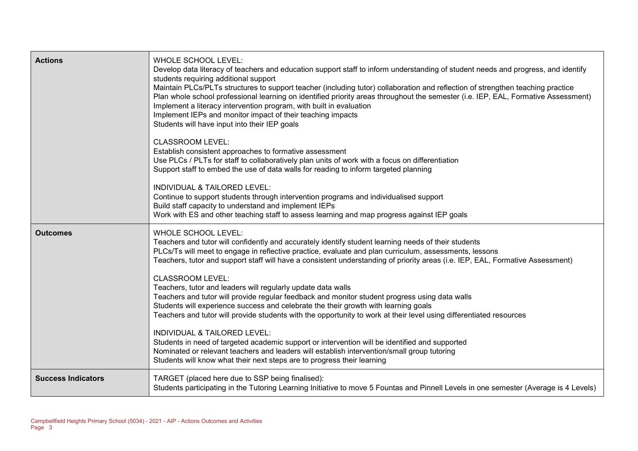| <b>Actions</b>            | <b>WHOLE SCHOOL LEVEL:</b><br>Develop data literacy of teachers and education support staff to inform understanding of student needs and progress, and identify<br>students requiring additional support<br>Maintain PLCs/PLTs structures to support teacher (including tutor) collaboration and reflection of strengthen teaching practice<br>Plan whole school professional learning on identified priority areas throughout the semester (i.e. IEP, EAL, Formative Assessment)<br>Implement a literacy intervention program, with built in evaluation<br>Implement IEPs and monitor impact of their teaching impacts<br>Students will have input into their IEP goals<br><b>CLASSROOM LEVEL:</b><br>Establish consistent approaches to formative assessment<br>Use PLCs / PLTs for staff to collaboratively plan units of work with a focus on differentiation<br>Support staff to embed the use of data walls for reading to inform targeted planning<br>INDIVIDUAL & TAILORED LEVEL:<br>Continue to support students through intervention programs and individualised support<br>Build staff capacity to understand and implement IEPs |
|---------------------------|---------------------------------------------------------------------------------------------------------------------------------------------------------------------------------------------------------------------------------------------------------------------------------------------------------------------------------------------------------------------------------------------------------------------------------------------------------------------------------------------------------------------------------------------------------------------------------------------------------------------------------------------------------------------------------------------------------------------------------------------------------------------------------------------------------------------------------------------------------------------------------------------------------------------------------------------------------------------------------------------------------------------------------------------------------------------------------------------------------------------------------------------|
|                           | Work with ES and other teaching staff to assess learning and map progress against IEP goals                                                                                                                                                                                                                                                                                                                                                                                                                                                                                                                                                                                                                                                                                                                                                                                                                                                                                                                                                                                                                                                 |
| <b>Outcomes</b>           | WHOLE SCHOOL LEVEL:<br>Teachers and tutor will confidently and accurately identify student learning needs of their students<br>PLCs/Ts will meet to engage in reflective practice, evaluate and plan curriculum, assessments, lessons<br>Teachers, tutor and support staff will have a consistent understanding of priority areas (i.e. IEP, EAL, Formative Assessment)<br><b>CLASSROOM LEVEL:</b><br>Teachers, tutor and leaders will regularly update data walls<br>Teachers and tutor will provide regular feedback and monitor student progress using data walls<br>Students will experience success and celebrate the their growth with learning goals<br>Teachers and tutor will provide students with the opportunity to work at their level using differentiated resources<br>INDIVIDUAL & TAILORED LEVEL:<br>Students in need of targeted academic support or intervention will be identified and supported<br>Nominated or relevant teachers and leaders will establish intervention/small group tutoring<br>Students will know what their next steps are to progress their learning                                              |
| <b>Success Indicators</b> | TARGET (placed here due to SSP being finalised):<br>Students participating in the Tutoring Learning Initiative to move 5 Fountas and Pinnell Levels in one semester (Average is 4 Levels)                                                                                                                                                                                                                                                                                                                                                                                                                                                                                                                                                                                                                                                                                                                                                                                                                                                                                                                                                   |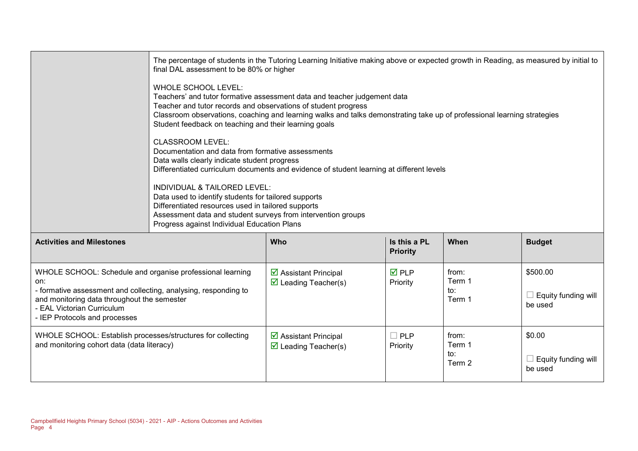|                                                                  | The percentage of students in the Tutoring Learning Initiative making above or expected growth in Reading, as measured by initial to<br>final DAL assessment to be 80% or higher                                                                                                                                                                      |                                                              |                                 |                 |               |  |  |  |
|------------------------------------------------------------------|-------------------------------------------------------------------------------------------------------------------------------------------------------------------------------------------------------------------------------------------------------------------------------------------------------------------------------------------------------|--------------------------------------------------------------|---------------------------------|-----------------|---------------|--|--|--|
|                                                                  | WHOLE SCHOOL LEVEL:<br>Teachers' and tutor formative assessment data and teacher judgement data<br>Teacher and tutor records and observations of student progress<br>Classroom observations, coaching and learning walks and talks demonstrating take up of professional learning strategies<br>Student feedback on teaching and their learning goals |                                                              |                                 |                 |               |  |  |  |
|                                                                  | <b>CLASSROOM LEVEL:</b><br>Documentation and data from formative assessments<br>Data walls clearly indicate student progress<br>Differentiated curriculum documents and evidence of student learning at different levels                                                                                                                              |                                                              |                                 |                 |               |  |  |  |
|                                                                  | INDIVIDUAL & TAILORED LEVEL:<br>Data used to identify students for tailored supports<br>Differentiated resources used in tailored supports<br>Assessment data and student surveys from intervention groups<br>Progress against Individual Education Plans                                                                                             |                                                              |                                 |                 |               |  |  |  |
| <b>Activities and Milestones</b>                                 |                                                                                                                                                                                                                                                                                                                                                       | <b>Who</b>                                                   | Is this a PL<br><b>Priority</b> | When            | <b>Budget</b> |  |  |  |
| WHOLE SCHOOL: Schedule and organise professional learning<br>on: |                                                                                                                                                                                                                                                                                                                                                       | ☑ Assistant Principal<br>$\triangleright$ Leading Teacher(s) | <b>☑</b> PLP<br>Priority        | from:<br>Term 1 | \$500.00      |  |  |  |

| on:<br>- formative assessment and collecting, analysing, responding to<br>and monitoring data throughout the semester<br>- EAL Victorian Curriculum<br>- IEP Protocols and processes | $\boxdot$ Leading Teacher(s)                                           | Priority                  | Term 1<br>to:<br>Term 1          | Equity funding will<br>be used                  |
|--------------------------------------------------------------------------------------------------------------------------------------------------------------------------------------|------------------------------------------------------------------------|---------------------------|----------------------------------|-------------------------------------------------|
| WHOLE SCHOOL: Establish processes/structures for collecting<br>and monitoring cohort data (data literacy)                                                                            | $\boxtimes$ Assistant Principal<br>$\triangleright$ Leading Teacher(s) | $\square$ PLP<br>Priority | from:<br>Term 1<br>to:<br>Term 2 | \$0.00<br>$\Box$ Equity funding will<br>be used |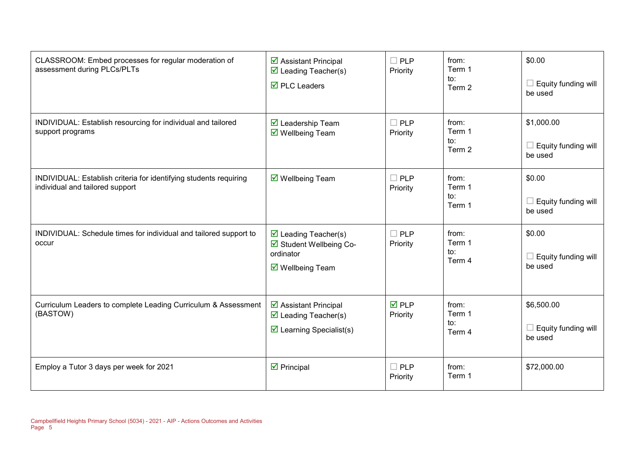| CLASSROOM: Embed processes for regular moderation of<br>assessment during PLCs/PLTs                  | $\triangleright$ Assistant Principal<br>$\triangledown$ Leading Teacher(s)<br>$\overline{\boxtimes}$ PLC Leaders    | $\Box$ PLP<br>Priority  | from:<br>Term 1<br>to:<br>Term 2 | \$0.00<br>$\Box$ Equity funding will<br>be used     |
|------------------------------------------------------------------------------------------------------|---------------------------------------------------------------------------------------------------------------------|-------------------------|----------------------------------|-----------------------------------------------------|
| INDIVIDUAL: Establish resourcing for individual and tailored<br>support programs                     | $\triangledown$ Leadership Team<br>$\overline{\mathbf{M}}$ Wellbeing Team                                           | $\Box$ PLP<br>Priority  | from:<br>Term 1<br>to:<br>Term 2 | \$1,000.00<br>$\Box$ Equity funding will<br>be used |
| INDIVIDUAL: Establish criteria for identifying students requiring<br>individual and tailored support | $\overline{\mathbf{M}}$ Wellbeing Team                                                                              | $\Box$ PLP<br>Priority  | from:<br>Term 1<br>to:<br>Term 1 | \$0.00<br>Equity funding will<br>be used            |
| INDIVIDUAL: Schedule times for individual and tailored support to<br>occur                           | $\triangleright$ Leading Teacher(s)<br>Student Wellbeing Co-<br>ordinator<br>$\overline{\mathsf{M}}$ Wellbeing Team | $\Box$ PLP<br>Priority  | from:<br>Term 1<br>to:<br>Term 4 | \$0.00<br>Equity funding will<br>be used            |
| Curriculum Leaders to complete Leading Curriculum & Assessment<br>(BASTOW)                           | ☑ Assistant Principal<br>$\triangledown$ Leading Teacher(s)<br>$\triangleright$ Learning Specialist(s)              | <b>ØPLP</b><br>Priority | from:<br>Term 1<br>to:<br>Term 4 | \$6,500.00<br>$\Box$ Equity funding will<br>be used |
| Employ a Tutor 3 days per week for 2021                                                              | $\triangledown$ Principal                                                                                           | $\Box$ PLP<br>Priority  | from:<br>Term 1                  | \$72,000.00                                         |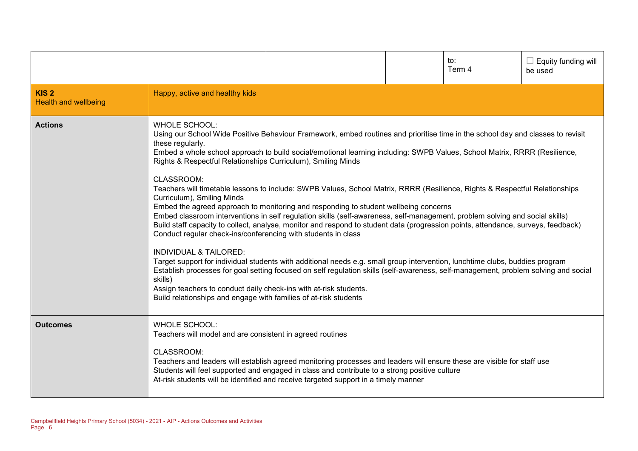|                                                 |                                                                                                                                                                                                                                                                                                                                                                                                                |                                                                                                                                                                                                                                                                                                                                                                                                                                                                                                                                                                                                                                                                                                                                                                                                                                                                                                                                                                                                                                 | to:<br>Term 4 | Equity funding will<br>be used |
|-------------------------------------------------|----------------------------------------------------------------------------------------------------------------------------------------------------------------------------------------------------------------------------------------------------------------------------------------------------------------------------------------------------------------------------------------------------------------|---------------------------------------------------------------------------------------------------------------------------------------------------------------------------------------------------------------------------------------------------------------------------------------------------------------------------------------------------------------------------------------------------------------------------------------------------------------------------------------------------------------------------------------------------------------------------------------------------------------------------------------------------------------------------------------------------------------------------------------------------------------------------------------------------------------------------------------------------------------------------------------------------------------------------------------------------------------------------------------------------------------------------------|---------------|--------------------------------|
| KIS <sub>2</sub><br><b>Health and wellbeing</b> | Happy, active and healthy kids                                                                                                                                                                                                                                                                                                                                                                                 |                                                                                                                                                                                                                                                                                                                                                                                                                                                                                                                                                                                                                                                                                                                                                                                                                                                                                                                                                                                                                                 |               |                                |
| <b>Actions</b>                                  | <b>WHOLE SCHOOL:</b><br>these regularly.<br>Rights & Respectful Relationships Curriculum), Smiling Minds<br>CLASSROOM:<br>Curriculum), Smiling Minds<br>Conduct regular check-ins/conferencing with students in class<br><b>INDIVIDUAL &amp; TAILORED:</b><br>skills)<br>Assign teachers to conduct daily check-ins with at-risk students.<br>Build relationships and engage with families of at-risk students | Using our School Wide Positive Behaviour Framework, embed routines and prioritise time in the school day and classes to revisit<br>Embed a whole school approach to build social/emotional learning including: SWPB Values, School Matrix, RRRR (Resilience,<br>Teachers will timetable lessons to include: SWPB Values, School Matrix, RRRR (Resilience, Rights & Respectful Relationships<br>Embed the agreed approach to monitoring and responding to student wellbeing concerns<br>Embed classroom interventions in self regulation skills (self-awareness, self-management, problem solving and social skills)<br>Build staff capacity to collect, analyse, monitor and respond to student data (progression points, attendance, surveys, feedback)<br>Target support for individual students with additional needs e.g. small group intervention, lunchtime clubs, buddies program<br>Establish processes for goal setting focused on self regulation skills (self-awareness, self-management, problem solving and social |               |                                |
| <b>Outcomes</b>                                 | <b>WHOLE SCHOOL:</b><br>Teachers will model and are consistent in agreed routines<br>CLASSROOM:                                                                                                                                                                                                                                                                                                                | Teachers and leaders will establish agreed monitoring processes and leaders will ensure these are visible for staff use<br>Students will feel supported and engaged in class and contribute to a strong positive culture<br>At-risk students will be identified and receive targeted support in a timely manner                                                                                                                                                                                                                                                                                                                                                                                                                                                                                                                                                                                                                                                                                                                 |               |                                |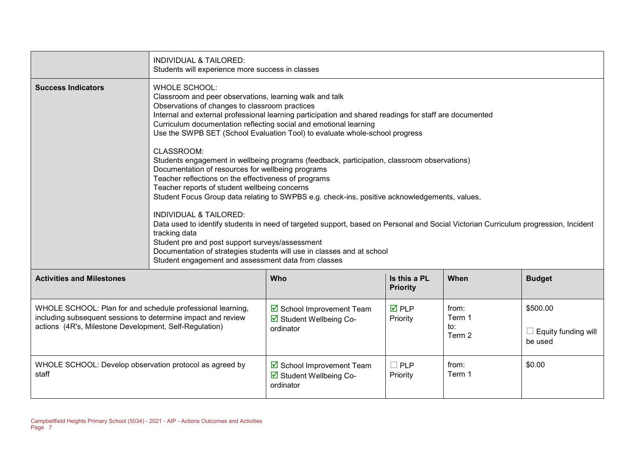|                                                                                                                                                                                      | <b>INDIVIDUAL &amp; TAILORED:</b><br>Students will experience more success in classes                                                                                                                                                                                                                                                                                                                                                                                                                                                                                                                                                                                                                                                                     |                                                                   |                                 |                                  |                                                   |  |  |  |
|--------------------------------------------------------------------------------------------------------------------------------------------------------------------------------------|-----------------------------------------------------------------------------------------------------------------------------------------------------------------------------------------------------------------------------------------------------------------------------------------------------------------------------------------------------------------------------------------------------------------------------------------------------------------------------------------------------------------------------------------------------------------------------------------------------------------------------------------------------------------------------------------------------------------------------------------------------------|-------------------------------------------------------------------|---------------------------------|----------------------------------|---------------------------------------------------|--|--|--|
| <b>Success Indicators</b>                                                                                                                                                            | <b>WHOLE SCHOOL:</b><br>Classroom and peer observations, learning walk and talk<br>Observations of changes to classroom practices<br>Internal and external professional learning participation and shared readings for staff are documented<br>Curriculum documentation reflecting social and emotional learning<br>Use the SWPB SET (School Evaluation Tool) to evaluate whole-school progress                                                                                                                                                                                                                                                                                                                                                           |                                                                   |                                 |                                  |                                                   |  |  |  |
|                                                                                                                                                                                      | CLASSROOM:<br>Students engagement in wellbeing programs (feedback, participation, classroom observations)<br>Documentation of resources for wellbeing programs<br>Teacher reflections on the effectiveness of programs<br>Teacher reports of student wellbeing concerns<br>Student Focus Group data relating to SWPBS e.g. check-ins, positive acknowledgements, values,<br><b>INDIVIDUAL &amp; TAILORED:</b><br>Data used to identify students in need of targeted support, based on Personal and Social Victorian Curriculum progression, Incident<br>tracking data<br>Student pre and post support surveys/assessment<br>Documentation of strategies students will use in classes and at school<br>Student engagement and assessment data from classes |                                                                   |                                 |                                  |                                                   |  |  |  |
| <b>Activities and Milestones</b>                                                                                                                                                     |                                                                                                                                                                                                                                                                                                                                                                                                                                                                                                                                                                                                                                                                                                                                                           | Who                                                               | Is this a PL<br><b>Priority</b> | When                             | <b>Budget</b>                                     |  |  |  |
| WHOLE SCHOOL: Plan for and schedule professional learning,<br>including subsequent sessions to determine impact and review<br>actions (4R's, Milestone Development, Self-Regulation) |                                                                                                                                                                                                                                                                                                                                                                                                                                                                                                                                                                                                                                                                                                                                                           | ☑ School Improvement Team<br>☑ Student Wellbeing Co-<br>ordinator | $\overline{M}$ PLP<br>Priority  | from:<br>Term 1<br>to∶<br>Term 2 | \$500.00<br>$\Box$ Equity funding will<br>be used |  |  |  |
| WHOLE SCHOOL: Develop observation protocol as agreed by<br>staff                                                                                                                     |                                                                                                                                                                                                                                                                                                                                                                                                                                                                                                                                                                                                                                                                                                                                                           | School Improvement Team<br>☑ Student Wellbeing Co-<br>ordinator   | $\Box$ PLP<br>Priority          | from:<br>Term 1                  | \$0.00                                            |  |  |  |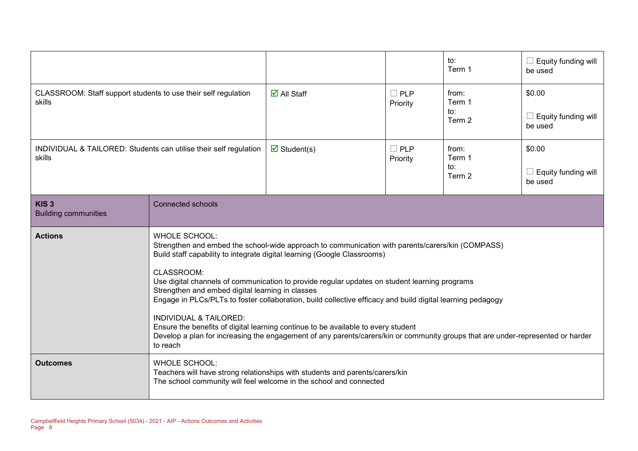|                                                                             |                                                                                                                                                                                                                                                                                                                                                                                                                                                                                                                                                                                                                                                                                                                                                                |                                   |                        | to:<br>Term 1                    | $\Box$ Equity funding will<br>be used           |
|-----------------------------------------------------------------------------|----------------------------------------------------------------------------------------------------------------------------------------------------------------------------------------------------------------------------------------------------------------------------------------------------------------------------------------------------------------------------------------------------------------------------------------------------------------------------------------------------------------------------------------------------------------------------------------------------------------------------------------------------------------------------------------------------------------------------------------------------------------|-----------------------------------|------------------------|----------------------------------|-------------------------------------------------|
| CLASSROOM: Staff support students to use their self regulation<br>skills    |                                                                                                                                                                                                                                                                                                                                                                                                                                                                                                                                                                                                                                                                                                                                                                | $\overline{\mathsf{M}}$ All Staff | $\Box$ PLP<br>Priority | from:<br>Term 1<br>to:<br>Term 2 | \$0.00<br>$\Box$ Equity funding will<br>be used |
| INDIVIDUAL & TAILORED: Students can utilise their self regulation<br>skills |                                                                                                                                                                                                                                                                                                                                                                                                                                                                                                                                                                                                                                                                                                                                                                | $\triangledown$ Student(s)        | $\Box$ PLP<br>Priority | from:<br>Term 1<br>to:<br>Term 2 | \$0.00<br>$\Box$ Equity funding will<br>be used |
| KIS <sub>3</sub><br><b>Building communities</b>                             | <b>Connected schools</b>                                                                                                                                                                                                                                                                                                                                                                                                                                                                                                                                                                                                                                                                                                                                       |                                   |                        |                                  |                                                 |
| <b>Actions</b>                                                              | <b>WHOLE SCHOOL:</b><br>Strengthen and embed the school-wide approach to communication with parents/carers/kin (COMPASS)<br>Build staff capability to integrate digital learning (Google Classrooms)<br>CLASSROOM:<br>Use digital channels of communication to provide regular updates on student learning programs<br>Strengthen and embed digital learning in classes<br>Engage in PLCs/PLTs to foster collaboration, build collective efficacy and build digital learning pedagogy<br><b>INDIVIDUAL &amp; TAILORED:</b><br>Ensure the benefits of digital learning continue to be available to every student<br>Develop a plan for increasing the engagement of any parents/carers/kin or community groups that are under-represented or harder<br>to reach |                                   |                        |                                  |                                                 |
| <b>Outcomes</b>                                                             | <b>WHOLE SCHOOL:</b><br>Teachers will have strong relationships with students and parents/carers/kin<br>The school community will feel welcome in the school and connected                                                                                                                                                                                                                                                                                                                                                                                                                                                                                                                                                                                     |                                   |                        |                                  |                                                 |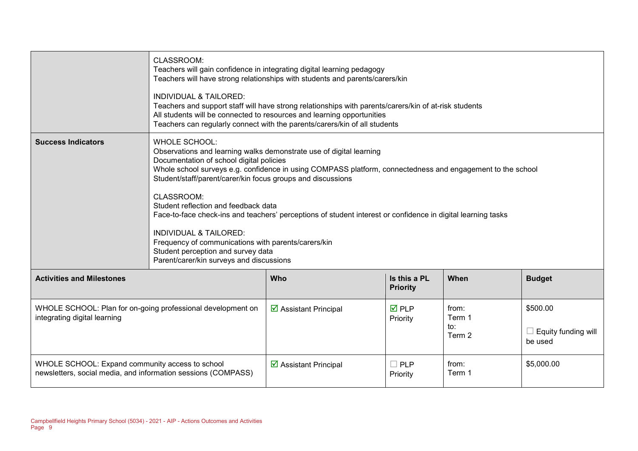|                                                                                                                  | CLASSROOM:<br>Teachers will gain confidence in integrating digital learning pedagogy<br>Teachers will have strong relationships with students and parents/carers/kin<br><b>INDIVIDUAL &amp; TAILORED:</b><br>Teachers and support staff will have strong relationships with parents/carers/kin of at-risk students<br>All students will be connected to resources and learning opportunities<br>Teachers can regularly connect with the parents/carers/kin of all students                                                                                                                                                                                               |                                             |                                 |                                  |                                                   |  |
|------------------------------------------------------------------------------------------------------------------|--------------------------------------------------------------------------------------------------------------------------------------------------------------------------------------------------------------------------------------------------------------------------------------------------------------------------------------------------------------------------------------------------------------------------------------------------------------------------------------------------------------------------------------------------------------------------------------------------------------------------------------------------------------------------|---------------------------------------------|---------------------------------|----------------------------------|---------------------------------------------------|--|
| <b>Success Indicators</b>                                                                                        | <b>WHOLE SCHOOL:</b><br>Observations and learning walks demonstrate use of digital learning<br>Documentation of school digital policies<br>Whole school surveys e.g. confidence in using COMPASS platform, connectedness and engagement to the school<br>Student/staff/parent/carer/kin focus groups and discussions<br>CLASSROOM:<br>Student reflection and feedback data<br>Face-to-face check-ins and teachers' perceptions of student interest or confidence in digital learning tasks<br><b>INDIVIDUAL &amp; TAILORED:</b><br>Frequency of communications with parents/carers/kin<br>Student perception and survey data<br>Parent/carer/kin surveys and discussions |                                             |                                 |                                  |                                                   |  |
| <b>Activities and Milestones</b>                                                                                 |                                                                                                                                                                                                                                                                                                                                                                                                                                                                                                                                                                                                                                                                          | Who                                         | Is this a PL<br><b>Priority</b> | When                             | <b>Budget</b>                                     |  |
| WHOLE SCHOOL: Plan for on-going professional development on<br>integrating digital learning                      |                                                                                                                                                                                                                                                                                                                                                                                                                                                                                                                                                                                                                                                                          | $\overline{\mathbf{y}}$ Assistant Principal | $\overline{M}$ PLP<br>Priority  | from:<br>Term 1<br>to:<br>Term 2 | \$500.00<br>$\Box$ Equity funding will<br>be used |  |
| WHOLE SCHOOL: Expand community access to school<br>newsletters, social media, and information sessions (COMPASS) |                                                                                                                                                                                                                                                                                                                                                                                                                                                                                                                                                                                                                                                                          | $\triangleright$ Assistant Principal        | $\Box$ PLP<br>Priority          | from:<br>Term 1                  | \$5,000.00                                        |  |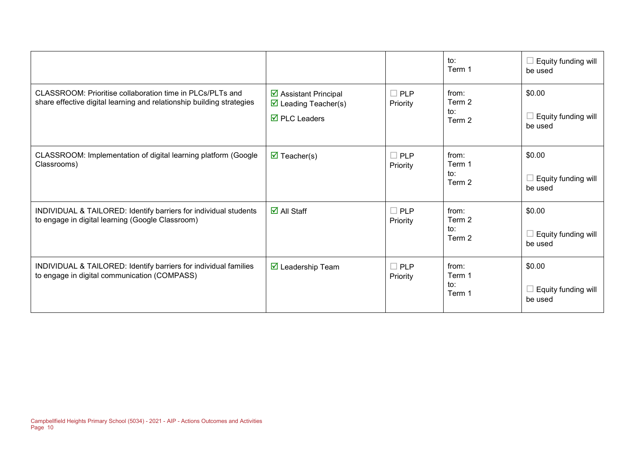|                                                                                                                                    |                                                                                                     |                        | to:<br>Term 1                    | Equity funding will<br>be used           |
|------------------------------------------------------------------------------------------------------------------------------------|-----------------------------------------------------------------------------------------------------|------------------------|----------------------------------|------------------------------------------|
| CLASSROOM: Prioritise collaboration time in PLCs/PLTs and<br>share effective digital learning and relationship building strategies | $\triangleright$ Assistant Principal<br>$\triangleright$ Leading Teacher(s)<br>$\nabla$ PLC Leaders | $\Box$ PLP<br>Priority | from:<br>Term 2<br>to:<br>Term 2 | \$0.00<br>Equity funding will<br>be used |
| CLASSROOM: Implementation of digital learning platform (Google<br>Classrooms)                                                      | $\overline{\mathbf{M}}$ Teacher(s)                                                                  | $\Box$ PLP<br>Priority | from:<br>Term 1<br>to:<br>Term 2 | \$0.00<br>Equity funding will<br>be used |
| INDIVIDUAL & TAILORED: Identify barriers for individual students<br>to engage in digital learning (Google Classroom)               | $\overline{\mathsf{M}}$ All Staff                                                                   | $\Box$ PLP<br>Priority | from:<br>Term 2<br>to:<br>Term 2 | \$0.00<br>Equity funding will<br>be used |
| INDIVIDUAL & TAILORED: Identify barriers for individual families<br>to engage in digital communication (COMPASS)                   | $\overline{\mathbf{M}}$ Leadership Team                                                             | $\Box$ PLP<br>Priority | from:<br>Term 1<br>to:<br>Term 1 | \$0.00<br>Equity funding will<br>be used |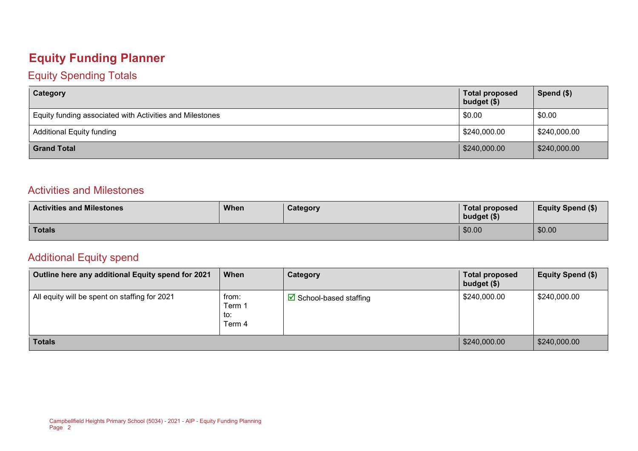### **Equity Funding Planner**

#### Equity Spending Totals

| Category                                                 | <b>Total proposed</b><br>budget (\$) | Spend $($)$  |
|----------------------------------------------------------|--------------------------------------|--------------|
| Equity funding associated with Activities and Milestones | \$0.00                               | \$0.00       |
| \$240,000.00<br><b>Additional Equity funding</b>         |                                      | \$240,000.00 |
| <b>Grand Total</b>                                       | \$240,000.00                         | \$240,000.00 |

#### Activities and Milestones

| <b>Activities and Milestones</b> | <b>When</b> | <b>Category</b> | Total proposed<br>budget (\$) | <b>Equity Spend (\$)</b> |
|----------------------------------|-------------|-----------------|-------------------------------|--------------------------|
| <b>Totals</b>                    |             |                 | \$0.00                        | \$0.00                   |

#### Additional Equity spend

| Outline here any additional Equity spend for 2021 | When                             | Category                               | <b>Total proposed</b><br>budget (\$) | Equity Spend (\$) |
|---------------------------------------------------|----------------------------------|----------------------------------------|--------------------------------------|-------------------|
| All equity will be spent on staffing for 2021     | from:<br>Term 1<br>to:<br>Term 4 | $\triangleright$ School-based staffing | \$240,000.00                         | \$240,000.00      |
| <b>Totals</b>                                     |                                  |                                        | \$240,000.00                         | \$240,000.00      |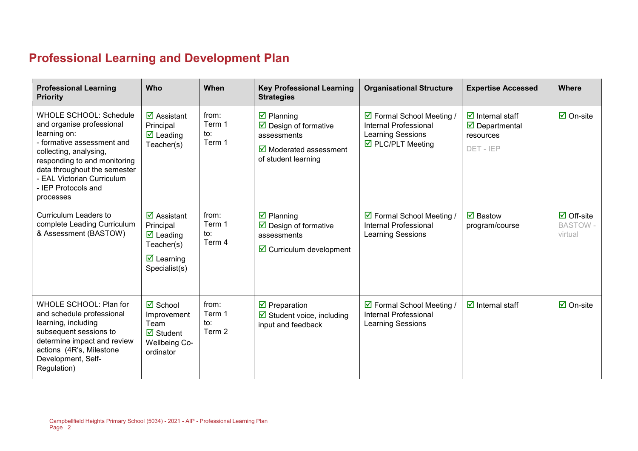# **Professional Learning and Development Plan**

| <b>Professional Learning</b><br><b>Priority</b>                                                                                                                                                                                                                      | Who                                                                                                                                   | When                             | <b>Key Professional Learning</b><br><b>Strategies</b>                                                                                              | <b>Organisational Structure</b>                                                                     | <b>Expertise Accessed</b>                                                                        | <b>Where</b>                                            |
|----------------------------------------------------------------------------------------------------------------------------------------------------------------------------------------------------------------------------------------------------------------------|---------------------------------------------------------------------------------------------------------------------------------------|----------------------------------|----------------------------------------------------------------------------------------------------------------------------------------------------|-----------------------------------------------------------------------------------------------------|--------------------------------------------------------------------------------------------------|---------------------------------------------------------|
| <b>WHOLE SCHOOL: Schedule</b><br>and organise professional<br>learning on:<br>- formative assessment and<br>collecting, analysing,<br>responding to and monitoring<br>data throughout the semester<br>- EAL Victorian Curriculum<br>- IEP Protocols and<br>processes | $\overline{\mathbf{z}}$ Assistant<br>Principal<br>$\overline{\mathbf{M}}$ Leading<br>Teacher(s)                                       | from:<br>Term 1<br>to:<br>Term 1 | $\overline{\mathbf{y}}$ Planning<br>$\triangleright$ Design of formative<br>assessments<br>$\boxtimes$ Moderated assessment<br>of student learning | ☑ Formal School Meeting /<br>Internal Professional<br><b>Learning Sessions</b><br>☑ PLC/PLT Meeting | $\overline{\mathbf{z}}$ Internal staff<br>$\triangledown$ Departmental<br>resources<br>DET - IEP | $\overline{\mathbf{z}}$ On-site                         |
| Curriculum Leaders to<br>complete Leading Curriculum<br>& Assessment (BASTOW)                                                                                                                                                                                        | $\overline{\mathbf{M}}$ Assistant<br>Principal<br>$\triangledown$ Leading<br>Teacher(s)<br>$\triangleright$ Learning<br>Specialist(s) | from:<br>Term 1<br>to:<br>Term 4 | $\overline{\mathbf{z}}$ Planning<br>$\triangleright$ Design of formative<br>assessments<br>$\boxdot$ Curriculum development                        | ☑ Formal School Meeting /<br>Internal Professional<br><b>Learning Sessions</b>                      | $\overline{\mathbf{M}}$ Bastow<br>program/course                                                 | $\overline{\Box}$ Off-site<br><b>BASTOW-</b><br>virtual |
| WHOLE SCHOOL: Plan for<br>and schedule professional<br>learning, including<br>subsequent sessions to<br>determine impact and review<br>actions (4R's, Milestone<br>Development, Self-<br>Regulation)                                                                 | $\overline{\mathbf{z}}$ School<br>Improvement<br>Team<br>$\overline{\mathbf{M}}$ Student<br><b>Wellbeing Co-</b><br>ordinator         | from:<br>Term 1<br>to:<br>Term 2 | $\overline{\mathbf{y}}$ Preparation<br>$\boxtimes$ Student voice, including<br>input and feedback                                                  | ☑ Formal School Meeting /<br>Internal Professional<br><b>Learning Sessions</b>                      | $\overline{\mathbf{y}}$ Internal staff                                                           | $\boxdot$ On-site                                       |